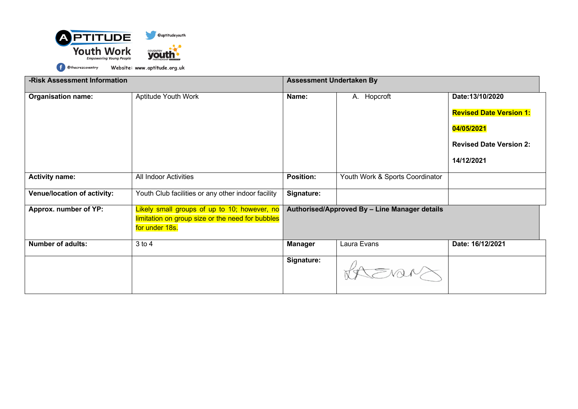

**-Risk Assessment Information Assessment Undertaken By Assessment Undertaken By Organisation name:** Aptitude Youth Work **Name:** A. Hopcroft **Date:13/10/2020 Revised Date Version 1: 04/05/2021 Revised Date Version 2: 14/12/2021 Activity name:** All Indoor Activities **Position:** Youth Work & Sports Coordinator **Venue/location of activity:** Youth Club facilities or any other indoor facility **Signature: Approx. number of YP:** Likely small groups of up to 10; however, no **Authorised/Approved By – Line Manager details** limitation on group size or the need for bubbles for under 18s. **Number of adults:**  $3 \text{ to } 4$  3 to 4 **Manager Laura Evans Date: 16/12/2021 Signature:**RAEVEN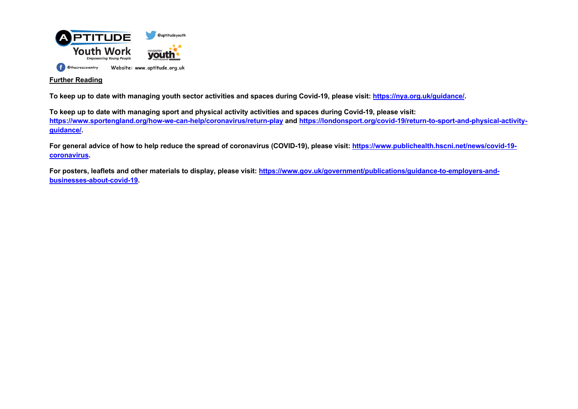

# **Further Reading**

**To keep up to date with managing youth sector activities and spaces during Covid-19, please visit: https://nya.org.uk/guidance/.** 

**To keep up to date with managing sport and physical activity activities and spaces during Covid-19, please visit: https://www.sportengland.org/how-we-can-help/coronavirus/return-play and https://londonsport.org/covid-19/return-to-sport-and-physical-activityguidance/.** 

**For general advice of how to help reduce the spread of coronavirus (COVID-19), please visit: https://www.publichealth.hscni.net/news/covid-19 coronavirus.**

**For posters, leaflets and other materials to display, please visit: https://www.gov.uk/government/publications/guidance-to-employers-andbusinesses-about-covid-19.**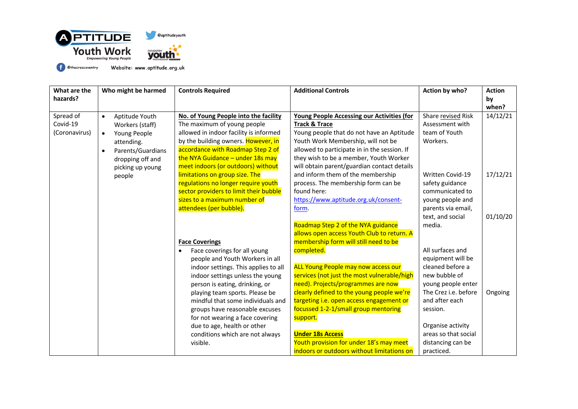

| What are the<br>hazards?               | Who might be harmed                                                                                                                                                 | <b>Controls Required</b>                                                                                                                                                                                                                                                                                                                                                                                 | <b>Additional Controls</b>                                                                                                                                                                                                                                                                                            | Action by who?                                                                                                                                                                                      | <b>Action</b><br>by<br>when? |
|----------------------------------------|---------------------------------------------------------------------------------------------------------------------------------------------------------------------|----------------------------------------------------------------------------------------------------------------------------------------------------------------------------------------------------------------------------------------------------------------------------------------------------------------------------------------------------------------------------------------------------------|-----------------------------------------------------------------------------------------------------------------------------------------------------------------------------------------------------------------------------------------------------------------------------------------------------------------------|-----------------------------------------------------------------------------------------------------------------------------------------------------------------------------------------------------|------------------------------|
| Spread of<br>Covid-19<br>(Coronavirus) | Aptitude Youth<br>$\bullet$<br>Workers (staff)<br>Young People<br>$\bullet$<br>attending.<br>Parents/Guardians<br>$\bullet$<br>dropping off and<br>picking up young | No. of Young People into the facility<br>The maximum of young people<br>allowed in indoor facility is informed<br>by the building owners. However, in<br>accordance with Roadmap Step 2 of<br>the NYA Guidance $-$ under 18s may<br>meet indoors (or outdoors) without                                                                                                                                   | Young People Accessing our Activities (for<br><b>Track &amp; Trace</b><br>Young people that do not have an Aptitude<br>Youth Work Membership, will not be<br>allowed to participate in in the session. If<br>they wish to be a member, Youth Worker<br>will obtain parent/guardian contact details                    | Share revised Risk<br>Assessment with<br>team of Youth<br>Workers.                                                                                                                                  | 14/12/21                     |
|                                        | people                                                                                                                                                              | limitations on group size. The<br>regulations no longer require youth<br>sector providers to limit their bubble<br>sizes to a maximum number of<br>attendees (per bubble).                                                                                                                                                                                                                               | and inform them of the membership<br>process. The membership form can be<br>found here:<br>https://www.aptitude.org.uk/consent-<br>form.                                                                                                                                                                              | Written Covid-19<br>safety guidance<br>communicated to<br>young people and<br>parents via email,                                                                                                    | 17/12/21                     |
|                                        |                                                                                                                                                                     | <b>Face Coverings</b>                                                                                                                                                                                                                                                                                                                                                                                    | Roadmap Step 2 of the NYA guidance<br>allows open access Youth Club to return. A<br>membership form will still need to be                                                                                                                                                                                             | text, and social<br>media.                                                                                                                                                                          | 01/10/20                     |
|                                        |                                                                                                                                                                     | Face coverings for all young<br>$\bullet$<br>people and Youth Workers in all<br>indoor settings. This applies to all<br>indoor settings unless the young<br>person is eating, drinking, or<br>playing team sports. Please be<br>mindful that some individuals and<br>groups have reasonable excuses<br>for not wearing a face covering<br>due to age, health or other<br>conditions which are not always | completed.<br><b>ALL Young People may now access our</b><br>services (not just the most vulnerable/high<br>need). Projects/programmes are now<br>clearly defined to the young people we're<br>targeting i.e. open access engagement or<br>focussed 1-2-1/small group mentoring<br>support.<br><b>Under 18s Access</b> | All surfaces and<br>equipment will be<br>cleaned before a<br>new bubble of<br>young people enter<br>The Crez i.e. before<br>and after each<br>session.<br>Organise activity<br>areas so that social | Ongoing                      |
|                                        |                                                                                                                                                                     | visible.                                                                                                                                                                                                                                                                                                                                                                                                 | Youth provision for under 18's may meet<br>indoors or outdoors without limitations on                                                                                                                                                                                                                                 | distancing can be<br>practiced.                                                                                                                                                                     |                              |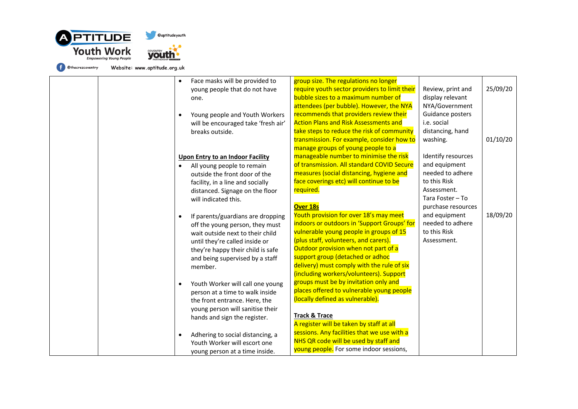



| Face masks will be provided to<br>$\bullet$<br>young people that do not have<br>one.<br>Young people and Youth Workers<br>$\bullet$<br>will be encouraged take 'fresh air'<br>breaks outside.<br><b>Upon Entry to an Indoor Facility</b><br>All young people to remain<br>$\bullet$<br>outside the front door of the<br>facility, in a line and socially<br>distanced. Signage on the floor<br>will indicated this.<br>If parents/guardians are dropping<br>$\bullet$<br>off the young person, they must<br>wait outside next to their child<br>until they're called inside or<br>they're happy their child is safe<br>and being supervised by a staff<br>member.<br>Youth Worker will call one young<br>$\bullet$<br>person at a time to walk inside<br>the front entrance. Here, the<br>young person will sanitise their<br>hands and sign the register. | group size. The regulations no longer<br>require youth sector providers to limit their<br>bubble sizes to a maximum number of<br>attendees (per bubble). However, the NYA<br>recommends that providers review their<br><b>Action Plans and Risk Assessments and</b><br>take steps to reduce the risk of community<br>transmission. For example, consider how to<br>manage groups of young people to a<br>manageable number to minimise the risk<br>of transmission. All standard COVID Secure<br>measures (social distancing, hygiene and<br>face coverings etc) will continue to be<br>required.<br><b>Over 18s</b><br>Youth provision for over 18's may meet<br>indoors or outdoors in 'Support Groups' for<br>vulnerable young people in groups of 15<br>(plus staff, volunteers, and carers).<br>Outdoor provision when not part of a<br>support group (detached or adhoc<br>delivery) must comply with the rule of six<br>(including workers/volunteers). Support<br>groups must be by invitation only and<br>places offered to vulnerable young people<br>(locally defined as vulnerable).<br><b>Track &amp; Trace</b> | Review, print and<br>display relevant<br>NYA/Government<br>Guidance posters<br>i.e. social<br>distancing, hand<br>washing.<br>Identify resources<br>and equipment<br>needed to adhere<br>to this Risk<br>Assessment.<br>Tara Foster - To<br>purchase resources<br>and equipment<br>needed to adhere<br>to this Risk<br>Assessment. | 25/09/20<br>01/10/20<br>18/09/20 |
|------------------------------------------------------------------------------------------------------------------------------------------------------------------------------------------------------------------------------------------------------------------------------------------------------------------------------------------------------------------------------------------------------------------------------------------------------------------------------------------------------------------------------------------------------------------------------------------------------------------------------------------------------------------------------------------------------------------------------------------------------------------------------------------------------------------------------------------------------------|------------------------------------------------------------------------------------------------------------------------------------------------------------------------------------------------------------------------------------------------------------------------------------------------------------------------------------------------------------------------------------------------------------------------------------------------------------------------------------------------------------------------------------------------------------------------------------------------------------------------------------------------------------------------------------------------------------------------------------------------------------------------------------------------------------------------------------------------------------------------------------------------------------------------------------------------------------------------------------------------------------------------------------------------------------------------------------------------------------------------------|------------------------------------------------------------------------------------------------------------------------------------------------------------------------------------------------------------------------------------------------------------------------------------------------------------------------------------|----------------------------------|
| Adhering to social distancing, a<br>$\bullet$<br>Youth Worker will escort one<br>young person at a time inside.                                                                                                                                                                                                                                                                                                                                                                                                                                                                                                                                                                                                                                                                                                                                            | A register will be taken by staff at all<br>sessions. Any facilities that we use with a<br>NHS QR code will be used by staff and<br>young people. For some indoor sessions,                                                                                                                                                                                                                                                                                                                                                                                                                                                                                                                                                                                                                                                                                                                                                                                                                                                                                                                                                  |                                                                                                                                                                                                                                                                                                                                    |                                  |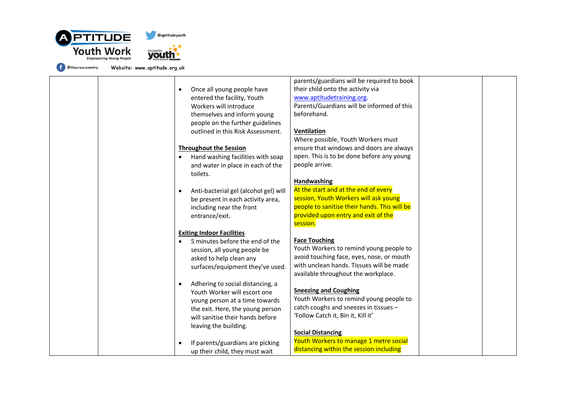

|  |                                                | parents/guardians will be required to book   |  |
|--|------------------------------------------------|----------------------------------------------|--|
|  | Once all young people have<br>$\bullet$        | their child onto the activity via            |  |
|  | entered the facility, Youth                    | www.aptitudetraining.org.                    |  |
|  | Workers will introduce                         | Parents/Guardians will be informed of this   |  |
|  | themselves and inform young                    | beforehand.                                  |  |
|  | people on the further guidelines               |                                              |  |
|  | outlined in this Risk Assessment.              | Ventilation                                  |  |
|  |                                                | Where possible, Youth Workers must           |  |
|  | <b>Throughout the Session</b>                  | ensure that windows and doors are always     |  |
|  | Hand washing facilities with soap<br>$\bullet$ | open. This is to be done before any young    |  |
|  | and water in place in each of the              | people arrive.                               |  |
|  | toilets.                                       |                                              |  |
|  |                                                | Handwashing                                  |  |
|  | Anti-bacterial gel (alcohol gel) will          | At the start and at the end of every         |  |
|  | $\bullet$<br>be present in each activity area, | session, Youth Workers will ask young        |  |
|  | including near the front                       | people to sanitise their hands. This will be |  |
|  | entrance/exit.                                 | provided upon entry and exit of the          |  |
|  |                                                | session.                                     |  |
|  | <b>Exiting Indoor Facilities</b>               |                                              |  |
|  | 5 minutes before the end of the<br>$\bullet$   | <b>Face Touching</b>                         |  |
|  | session, all young people be                   | Youth Workers to remind young people to      |  |
|  | asked to help clean any                        | avoid touching face, eyes, nose, or mouth    |  |
|  | surfaces/equipment they've used.               | with unclean hands. Tissues will be made     |  |
|  |                                                | available throughout the workplace.          |  |
|  | Adhering to social distancing, a<br>$\bullet$  |                                              |  |
|  | Youth Worker will escort one                   | <b>Sneezing and Coughing</b>                 |  |
|  | young person at a time towards                 | Youth Workers to remind young people to      |  |
|  | the exit. Here, the young person               | catch coughs and sneezes in tissues -        |  |
|  | will sanitise their hands before               | 'Follow Catch it, Bin it, Kill it'           |  |
|  | leaving the building.                          |                                              |  |
|  |                                                | <b>Social Distancing</b>                     |  |
|  | If parents/guardians are picking<br>$\bullet$  | Youth Workers to manage 1 metre social       |  |
|  | up their child, they must wait                 | distancing within the session including      |  |
|  |                                                |                                              |  |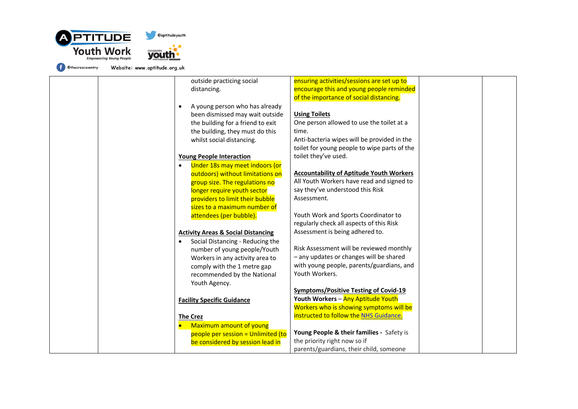

Website: www.aptitude.org.uk outside practicing social distancing.

> • A young person who has already been dismissed may wait outside the building for a friend to exit the building, they must do this whilst social distancing.

### **Young People Interaction**

• Under 18s may meet indoors (or outdoors) without limitations on group size. The regulations no longer require youth sector providers to limit their bubble sizes to a maximum number of attendees (per bubble).

### **Activity Areas & Social Distancing**

• Social Distancing - Reducing the number of young people/Youth Workers in any activity area to comply with the 1 metre gap recommended by the National Youth Agency.

### **Facility Specific Guidance**

### **The Crez**

• Maximum amount of young people per session = Unlimited (to be considered by session lead in instructed to follow the NHS Guidance. **Young People & their families -** Safety is the priority right now so if parents/guardians, their child, someone

ensuring activities/sessions are set up to encourage this and young people reminded of the importance of social distancing.

#### **Using Toilets**

One person allowed to use the toilet at a time. Anti-bacteria wipes will be provided in the toilet for young people to wipe parts of the toilet they've used.

## **Accountability of Aptitude Youth Workers**

All Youth Workers have read and signed to say they've understood this Risk Assessment.

Youth Work and Sports Coordinator to regularly check all aspects of this Risk Assessment is being adhered to.

Risk Assessment will be reviewed monthly – any updates or changes will be shared with young people, parents/guardians, and Youth Workers.

**Symptoms/Positive Testing of Covid-19 Youth Workers** – Any Aptitude Youth Workers who is showing symptoms will be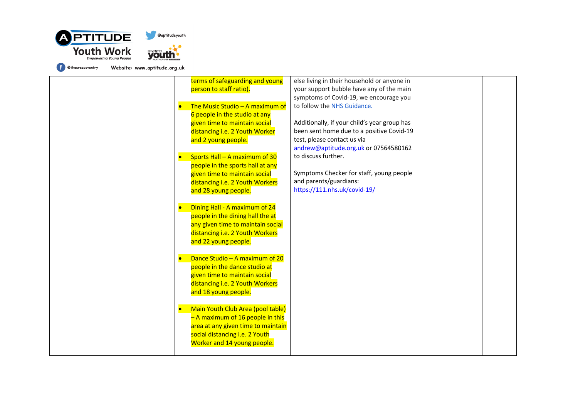

| terms of safeguarding and young            | else living in their household or anyone in  |  |
|--------------------------------------------|----------------------------------------------|--|
| person to staff ratio).                    | your support bubble have any of the main     |  |
|                                            | symptoms of Covid-19, we encourage you       |  |
| The Music Studio - A maximum of            | to follow the NHS Guidance.                  |  |
| 6 people in the studio at any              |                                              |  |
| given time to maintain social              | Additionally, if your child's year group has |  |
| distancing i.e. 2 Youth Worker             | been sent home due to a positive Covid-19    |  |
| and 2 young people.                        | test, please contact us via                  |  |
|                                            | andrew@aptitude.org.uk or 07564580162        |  |
| Sports Hall - A maximum of 30<br>$\bullet$ | to discuss further.                          |  |
| people in the sports hall at any           |                                              |  |
| given time to maintain social              | Symptoms Checker for staff, young people     |  |
| distancing i.e. 2 Youth Workers            | and parents/guardians:                       |  |
|                                            | https://111.nhs.uk/covid-19/                 |  |
| and 28 young people.                       |                                              |  |
|                                            |                                              |  |
| Dining Hall - A maximum of 24<br>$\bullet$ |                                              |  |
| people in the dining hall the at           |                                              |  |
| any given time to maintain social          |                                              |  |
| distancing i.e. 2 Youth Workers            |                                              |  |
| and 22 young people.                       |                                              |  |
|                                            |                                              |  |
| Dance Studio - A maximum of 20             |                                              |  |
| people in the dance studio at              |                                              |  |
| given time to maintain social              |                                              |  |
| distancing i.e. 2 Youth Workers            |                                              |  |
| and 18 young people.                       |                                              |  |
|                                            |                                              |  |
| Main Youth Club Area (pool table)          |                                              |  |
| - A maximum of 16 people in this           |                                              |  |
| area at any given time to maintain         |                                              |  |
| social distancing i.e. 2 Youth             |                                              |  |
| Worker and 14 young people.                |                                              |  |
|                                            |                                              |  |
|                                            |                                              |  |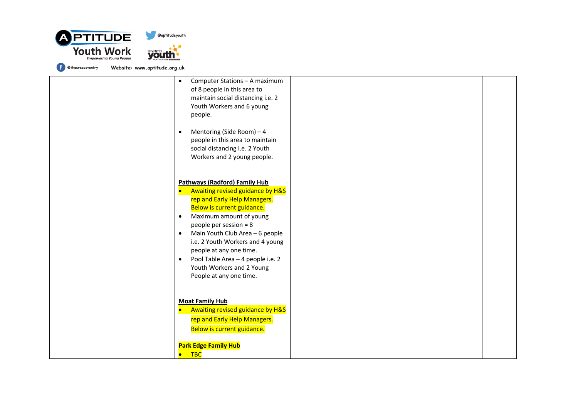

| Computer Stations - A maximum<br>$\bullet$<br>of 8 people in this area to<br>maintain social distancing i.e. 2<br>Youth Workers and 6 young<br>people.                                                                                                                                                                                                                                                                                         |
|------------------------------------------------------------------------------------------------------------------------------------------------------------------------------------------------------------------------------------------------------------------------------------------------------------------------------------------------------------------------------------------------------------------------------------------------|
| Mentoring (Side Room) - 4<br>$\bullet$<br>people in this area to maintain<br>social distancing i.e. 2 Youth<br>Workers and 2 young people.                                                                                                                                                                                                                                                                                                     |
| <b>Pathways (Radford) Family Hub</b><br>Awaiting revised guidance by H&S<br>$\bullet$<br>rep and Early Help Managers.<br>Below is current guidance.<br>Maximum amount of young<br>$\bullet$<br>people per session = 8<br>Main Youth Club Area - 6 people<br>$\bullet$<br>i.e. 2 Youth Workers and 4 young<br>people at any one time.<br>Pool Table Area - 4 people i.e. 2<br>$\bullet$<br>Youth Workers and 2 Young<br>People at any one time. |
| <b>Moat Family Hub</b><br>Awaiting revised guidance by H&S<br>$\bullet$<br>rep and Early Help Managers.<br>Below is current guidance.<br><b>Park Edge Family Hub</b><br>$\overline{C}$<br>$\bullet$                                                                                                                                                                                                                                            |